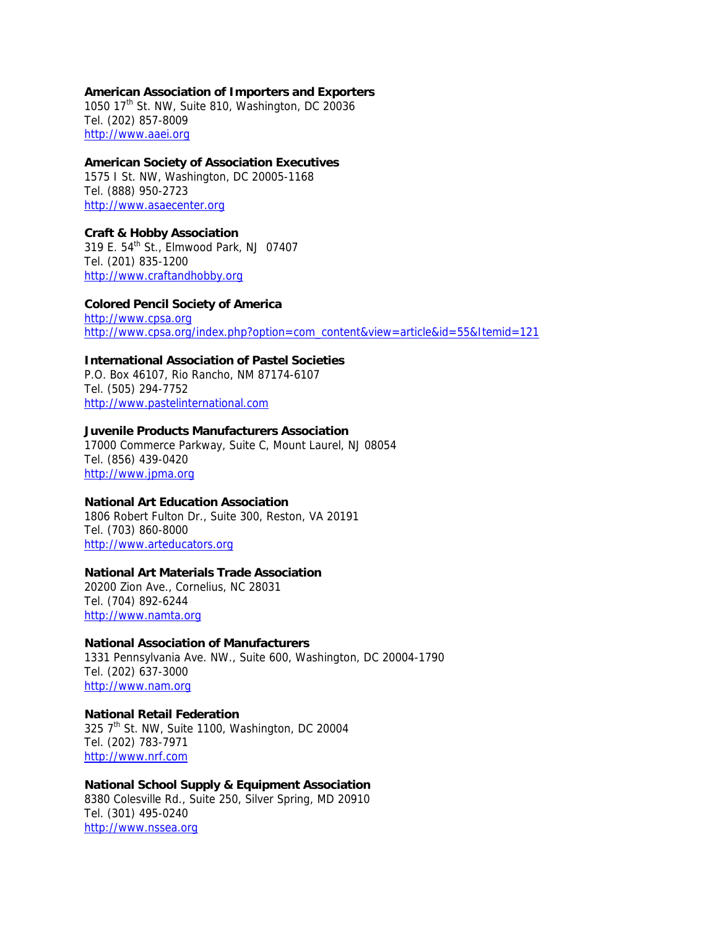# **American Association of Importers and Exporters**

1050 17th St. NW, Suite 810, Washington, DC 20036 Tel. (202) 857-8009 http://www.aaei.org

# **American Society of Association Executives**

1575 I St. NW, Washington, DC 20005-1168 Tel. (888) 950-2723 http://www.asaecenter.org

#### **Craft & Hobby Association**  319 E. 54th St., Elmwood Park, NJ 07407 Tel. (201) 835-1200

http://www.craftandhobby.org

**Colored Pencil Society of America**  http://www.cpsa.org http://www.cpsa.org/index.php?option=com\_content&view=article&id=55&Itemid=121

# **International Association of Pastel Societies**

P.O. Box 46107, Rio Rancho, NM 87174-6107 Tel. (505) 294-7752 http://www.pastelinternational.com

#### **Juvenile Products Manufacturers Association**

17000 Commerce Parkway, Suite C, Mount Laurel, NJ 08054 Tel. (856) 439-0420 http://www.jpma.org

# **National Art Education Association**

1806 Robert Fulton Dr., Suite 300, Reston, VA 20191 Tel. (703) 860-8000 http://www.arteducators.org

# **National Art Materials Trade Association**

20200 Zion Ave., Cornelius, NC 28031 Tel. (704) 892-6244 http://www.namta.org

#### **National Association of Manufacturers**

1331 Pennsylvania Ave. NW., Suite 600, Washington, DC 20004-1790 Tel. (202) 637-3000 http://www.nam.org

#### **National Retail Federation**  325 7<sup>th</sup> St. NW, Suite 1100, Washington, DC 20004 Tel. (202) 783-7971 http://www.nrf.com

# **National School Supply & Equipment Association** 8380 Colesville Rd., Suite 250, Silver Spring, MD 20910 Tel. (301) 495-0240 http://www.nssea.org